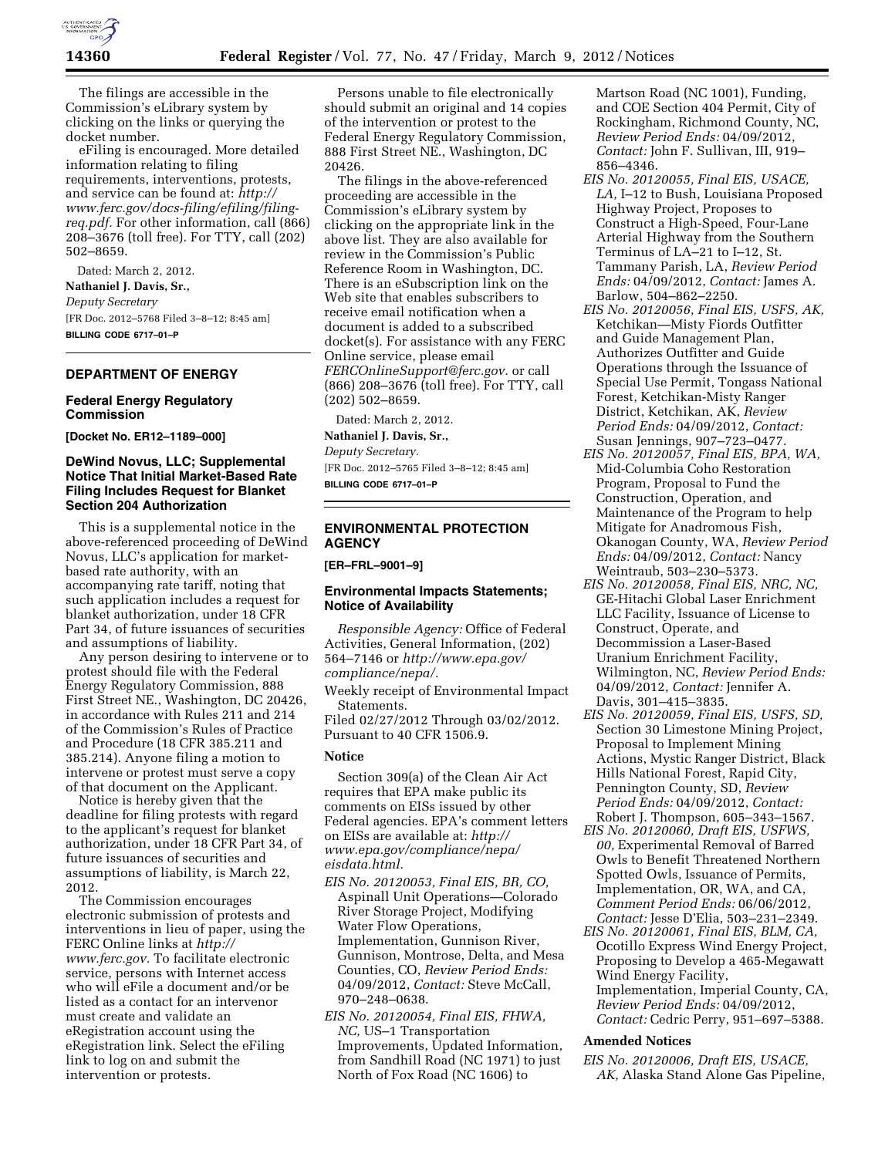

The filings are accessible in the Commission's eLibrary system by clicking on the links or querying the docket number.

eFiling is encouraged. More detailed information relating to filing requirements, interventions, protests, and service can be found at: *[http://](http://www.ferc.gov/docs-filing/efiling/filing-req.pdf) [www.ferc.gov/docs-filing/efiling/filing](http://www.ferc.gov/docs-filing/efiling/filing-req.pdf)[req.pdf.](http://www.ferc.gov/docs-filing/efiling/filing-req.pdf)* For other information, call (866) 208–3676 (toll free). For TTY, call (202) 502–8659.

Dated: March 2, 2012. **Nathaniel J. Davis, Sr.,**  *Deputy Secretary*  [FR Doc. 2012–5768 Filed 3–8–12; 8:45 am] **BILLING CODE 6717–01–P** 

# **DEPARTMENT OF ENERGY**

## **Federal Energy Regulatory Commission**

**[Docket No. ER12–1189–000]** 

## **DeWind Novus, LLC; Supplemental Notice That Initial Market-Based Rate Filing Includes Request for Blanket Section 204 Authorization**

This is a supplemental notice in the above-referenced proceeding of DeWind Novus, LLC's application for marketbased rate authority, with an accompanying rate tariff, noting that such application includes a request for blanket authorization, under 18 CFR Part 34, of future issuances of securities and assumptions of liability.

Any person desiring to intervene or to protest should file with the Federal Energy Regulatory Commission, 888 First Street NE., Washington, DC 20426, in accordance with Rules 211 and 214 of the Commission's Rules of Practice and Procedure (18 CFR 385.211 and 385.214). Anyone filing a motion to intervene or protest must serve a copy of that document on the Applicant.

Notice is hereby given that the deadline for filing protests with regard to the applicant's request for blanket authorization, under 18 CFR Part 34, of future issuances of securities and assumptions of liability, is March 22, 2012.

The Commission encourages electronic submission of protests and interventions in lieu of paper, using the FERC Online links at *[http://](http://www.ferc.gov)  [www.ferc.gov.](http://www.ferc.gov)* To facilitate electronic service, persons with Internet access who will eFile a document and/or be listed as a contact for an intervenor must create and validate an eRegistration account using the eRegistration link. Select the eFiling link to log on and submit the intervention or protests.

Persons unable to file electronically should submit an original and 14 copies of the intervention or protest to the Federal Energy Regulatory Commission, 888 First Street NE., Washington, DC 20426.

The filings in the above-referenced proceeding are accessible in the Commission's eLibrary system by clicking on the appropriate link in the above list. They are also available for review in the Commission's Public Reference Room in Washington, DC. There is an eSubscription link on the Web site that enables subscribers to receive email notification when a document is added to a subscribed docket(s). For assistance with any FERC Online service, please email *[FERCOnlineSupport@ferc.gov.](mailto:FERCOnlineSupport@ferc.gov)* or call (866) 208–3676 (toll free). For TTY, call (202) 502–8659.

Dated: March 2, 2012.

**Nathaniel J. Davis, Sr.,** 

*Deputy Secretary.*  [FR Doc. 2012–5765 Filed 3–8–12; 8:45 am] **BILLING CODE 6717–01–P** 

# **ENVIRONMENTAL PROTECTION AGENCY**

**[ER–FRL–9001–9]** 

## **Environmental Impacts Statements; Notice of Availability**

*Responsible Agency:* Office of Federal Activities, General Information, (202) 564–7146 or *[http://www.epa.gov/](http://www.epa.gov/compliance/nepa/) [compliance/nepa/.](http://www.epa.gov/compliance/nepa/)* 

Weekly receipt of Environmental Impact Statements.

Filed 02/27/2012 Through 03/02/2012. Pursuant to 40 CFR 1506.9.

### **Notice**

Section 309(a) of the Clean Air Act requires that EPA make public its comments on EISs issued by other Federal agencies. EPA's comment letters on EISs are available at: *[http://](http://www.epa.gov/compliance/nepa/eisdata.html)  [www.epa.gov/compliance/nepa/](http://www.epa.gov/compliance/nepa/eisdata.html)  [eisdata.html.](http://www.epa.gov/compliance/nepa/eisdata.html)* 

- *EIS No. 20120053, Final EIS, BR, CO,*  Aspinall Unit Operations—Colorado River Storage Project, Modifying Water Flow Operations, Implementation, Gunnison River, Gunnison, Montrose, Delta, and Mesa Counties, CO, *Review Period Ends:*  04/09/2012, *Contact:* Steve McCall, 970–248–0638.
- *EIS No. 20120054, Final EIS, FHWA, NC,* US–1 Transportation Improvements, Updated Information, from Sandhill Road (NC 1971) to just North of Fox Road (NC 1606) to

Martson Road (NC 1001), Funding, and COE Section 404 Permit, City of Rockingham, Richmond County, NC, *Review Period Ends:* 04/09/2012, *Contact:* John F. Sullivan, III, 919– 856–4346.

- *EIS No. 20120055, Final EIS, USACE, LA,* I–12 to Bush, Louisiana Proposed Highway Project, Proposes to Construct a High-Speed, Four-Lane Arterial Highway from the Southern Terminus of LA–21 to I–12, St. Tammany Parish, LA, *Review Period Ends:* 04/09/2012, *Contact:* James A. Barlow, 504–862–2250.
- *EIS No. 20120056, Final EIS, USFS, AK,*  Ketchikan—Misty Fiords Outfitter and Guide Management Plan, Authorizes Outfitter and Guide Operations through the Issuance of Special Use Permit, Tongass National Forest, Ketchikan-Misty Ranger District, Ketchikan, AK, *Review Period Ends:* 04/09/2012, *Contact:*  Susan Jennings, 907–723–0477.
- *EIS No. 20120057, Final EIS, BPA, WA,*  Mid-Columbia Coho Restoration Program, Proposal to Fund the Construction, Operation, and Maintenance of the Program to help Mitigate for Anadromous Fish, Okanogan County, WA, *Review Period Ends:* 04/09/2012, *Contact:* Nancy Weintraub, 503–230–5373.
- *EIS No. 20120058, Final EIS, NRC, NC,*  GE-Hitachi Global Laser Enrichment LLC Facility, Issuance of License to Construct, Operate, and Decommission a Laser-Based Uranium Enrichment Facility, Wilmington, NC, *Review Period Ends:*  04/09/2012, *Contact:* Jennifer A. Davis, 301–415–3835.
- *EIS No. 20120059, Final EIS, USFS, SD,*  Section 30 Limestone Mining Project, Proposal to Implement Mining Actions, Mystic Ranger District, Black Hills National Forest, Rapid City, Pennington County, SD, *Review Period Ends:* 04/09/2012, *Contact:*  Robert J. Thompson, 605–343–1567.
- *EIS No. 20120060, Draft EIS, USFWS, 00,* Experimental Removal of Barred Owls to Benefit Threatened Northern Spotted Owls, Issuance of Permits, Implementation, OR, WA, and CA, *Comment Period Ends:* 06/06/2012, *Contact:* Jesse D'Elia, 503–231–2349.
- *EIS No. 20120061, Final EIS, BLM, CA,*  Ocotillo Express Wind Energy Project, Proposing to Develop a 465-Megawatt Wind Energy Facility, Implementation, Imperial County, CA, *Review Period Ends:* 04/09/2012,
	- *Contact:* Cedric Perry, 951–697–5388.

# **Amended Notices**

*EIS No. 20120006, Draft EIS, USACE, AK,* Alaska Stand Alone Gas Pipeline,